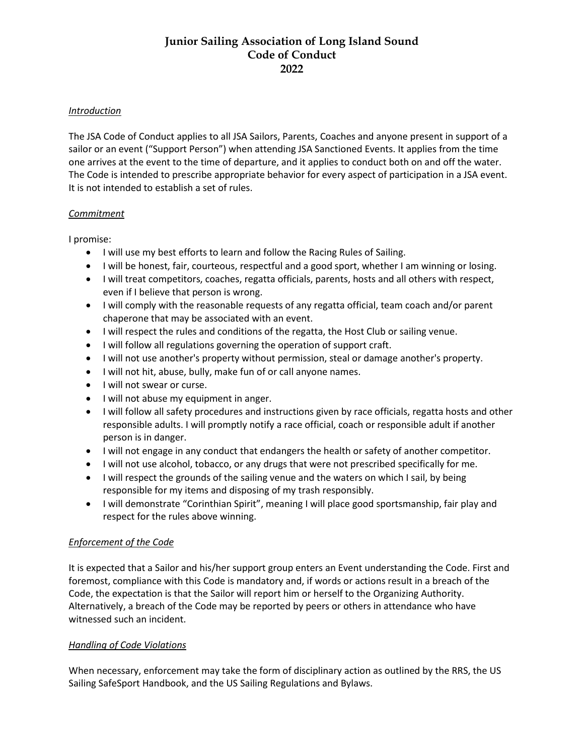# **Junior Sailing Association of Long Island Sound Code of Conduct 2022**

#### *Introduction*

The JSA Code of Conduct applies to all JSA Sailors, Parents, Coaches and anyone present in support of a sailor or an event ("Support Person") when attending JSA Sanctioned Events. It applies from the time one arrives at the event to the time of departure, and it applies to conduct both on and off the water. The Code is intended to prescribe appropriate behavior for every aspect of participation in a JSA event. It is not intended to establish a set of rules.

#### *Commitment*

I promise:

- I will use my best efforts to learn and follow the Racing Rules of Sailing.
- I will be honest, fair, courteous, respectful and a good sport, whether I am winning or losing.
- I will treat competitors, coaches, regatta officials, parents, hosts and all others with respect, even if I believe that person is wrong.
- I will comply with the reasonable requests of any regatta official, team coach and/or parent chaperone that may be associated with an event.
- I will respect the rules and conditions of the regatta, the Host Club or sailing venue.
- I will follow all regulations governing the operation of support craft.
- I will not use another's property without permission, steal or damage another's property.
- I will not hit, abuse, bully, make fun of or call anyone names.
- I will not swear or curse.
- I will not abuse my equipment in anger.
- I will follow all safety procedures and instructions given by race officials, regatta hosts and other responsible adults. I will promptly notify a race official, coach or responsible adult if another person is in danger.
- I will not engage in any conduct that endangers the health or safety of another competitor.
- I will not use alcohol, tobacco, or any drugs that were not prescribed specifically for me.
- I will respect the grounds of the sailing venue and the waters on which I sail, by being responsible for my items and disposing of my trash responsibly.
- I will demonstrate "Corinthian Spirit", meaning I will place good sportsmanship, fair play and respect for the rules above winning.

#### *Enforcement of the Code*

It is expected that a Sailor and his/her support group enters an Event understanding the Code. First and foremost, compliance with this Code is mandatory and, if words or actions result in a breach of the Code, the expectation is that the Sailor will report him or herself to the Organizing Authority. Alternatively, a breach of the Code may be reported by peers or others in attendance who have witnessed such an incident.

#### *Handling of Code Violations*

When necessary, enforcement may take the form of disciplinary action as outlined by the RRS, the US Sailing SafeSport Handbook, and the US Sailing Regulations and Bylaws.